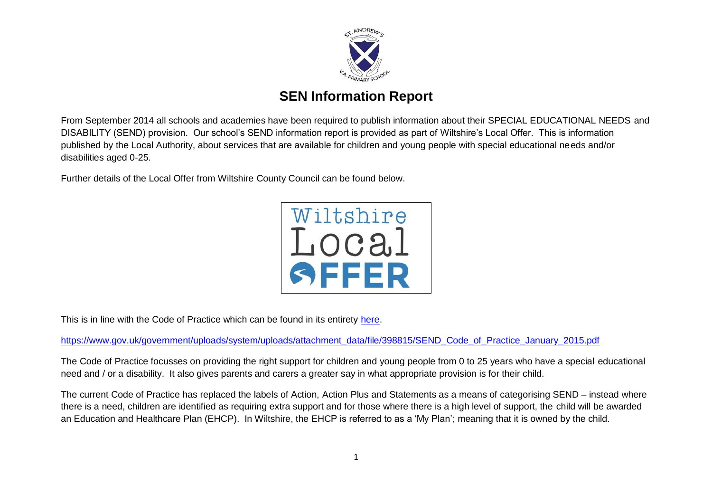

# **SEN Information Report**

From September 2014 all schools and academies have been required to publish information about their SPECIAL EDUCATIONAL NEEDS and DISABILITY (SEND) provision. Our school's SEND information report is provided as part of Wiltshire's Local Offer. This is information published by the Local Authority, about services that are available for children and young people with special educational needs and/or disabilities aged 0-25.

Further details of the Local Offer from Wiltshire County Council can be found below.



This is in line with the Code of Practice which can be found in its entirety [here.](https://www.gov.uk/government/uploads/system/uploads/attachment_data/file/398815/SEND_Code_of_Practice_January_2015.pdf)

[https://www.gov.uk/government/uploads/system/uploads/attachment\\_data/file/398815/SEND\\_Code\\_of\\_Practice\\_January\\_2015.pdf](https://www.gov.uk/government/uploads/system/uploads/attachment_data/file/398815/SEND_Code_of_Practice_January_2015.pdf)

The Code of Practice focusses on providing the right support for children and young people from 0 to 25 years who have a special educational need and / or a disability. It also gives parents and carers a greater say in what appropriate provision is for their child.

The current Code of Practice has replaced the labels of Action, Action Plus and Statements as a means of categorising SEND – instead where there is a need, children are identified as requiring extra support and for those where there is a high level of support, the child will be awarded an Education and Healthcare Plan (EHCP). In Wiltshire, the EHCP is referred to as a 'My Plan'; meaning that it is owned by the child.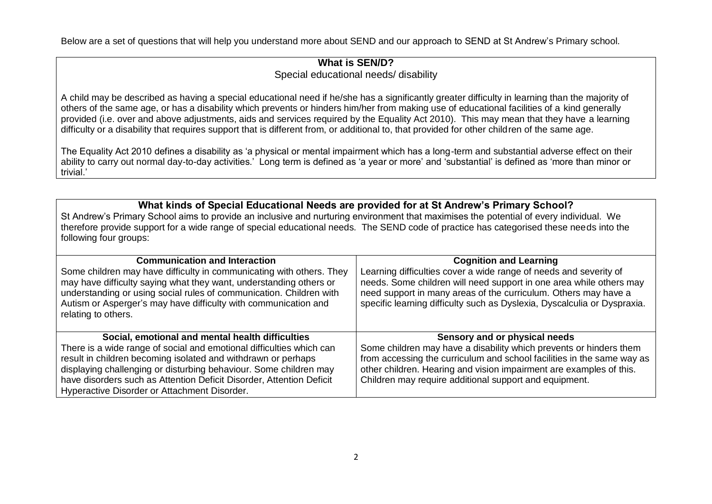Below are a set of questions that will help you understand more about SEND and our approach to SEND at St Andrew's Primary school.

## **What is SEN/D?** Special educational needs/ disability

A child may be described as having a special educational need if he/she has a significantly greater difficulty in learning than the majority of others of the same age, or has a disability which prevents or hinders him/her from making use of educational facilities of a kind generally provided (i.e. over and above adjustments, aids and services required by the Equality Act 2010). This may mean that they have a learning difficulty or a disability that requires support that is different from, or additional to, that provided for other children of the same age.

The Equality Act 2010 defines a disability as 'a physical or mental impairment which has a long-term and substantial adverse effect on their ability to carry out normal day-to-day activities.' Long term is defined as 'a year or more' and 'substantial' is defined as 'more than minor or trivial.'

# **What kinds of Special Educational Needs are provided for at St Andrew's Primary School?**

St Andrew's Primary School aims to provide an inclusive and nurturing environment that maximises the potential of every individual. We therefore provide support for a wide range of special educational needs. The SEND code of practice has categorised these needs into the following four groups:

| <b>Communication and Interaction</b><br>Some children may have difficulty in communicating with others. They<br>may have difficulty saying what they want, understanding others or<br>understanding or using social rules of communication. Children with<br>Autism or Asperger's may have difficulty with communication and<br>relating to others.                                    | <b>Cognition and Learning</b><br>Learning difficulties cover a wide range of needs and severity of<br>needs. Some children will need support in one area while others may<br>need support in many areas of the curriculum. Others may have a<br>specific learning difficulty such as Dyslexia, Dyscalculia or Dyspraxia. |
|----------------------------------------------------------------------------------------------------------------------------------------------------------------------------------------------------------------------------------------------------------------------------------------------------------------------------------------------------------------------------------------|--------------------------------------------------------------------------------------------------------------------------------------------------------------------------------------------------------------------------------------------------------------------------------------------------------------------------|
| Social, emotional and mental health difficulties<br>There is a wide range of social and emotional difficulties which can<br>result in children becoming isolated and withdrawn or perhaps<br>displaying challenging or disturbing behaviour. Some children may<br>have disorders such as Attention Deficit Disorder, Attention Deficit<br>Hyperactive Disorder or Attachment Disorder. | Sensory and or physical needs<br>Some children may have a disability which prevents or hinders them<br>from accessing the curriculum and school facilities in the same way as<br>other children. Hearing and vision impairment are examples of this.<br>Children may require additional support and equipment.           |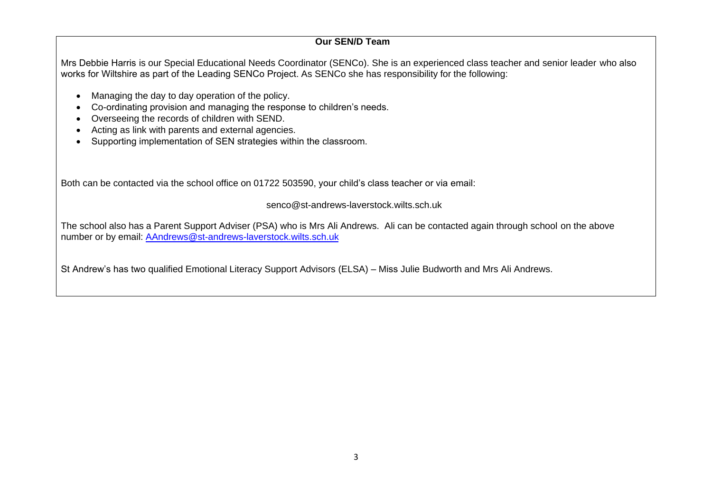#### **Our SEN/D Team**

Mrs Debbie Harris is our Special Educational Needs Coordinator (SENCo). She is an experienced class teacher and senior leader who also works for Wiltshire as part of the Leading SENCo Project. As SENCo she has responsibility for the following:

- Managing the day to day operation of the policy.
- Co-ordinating provision and managing the response to children's needs.
- Overseeing the records of children with SEND.
- Acting as link with parents and external agencies.
- Supporting implementation of SEN strategies within the classroom.

Both can be contacted via the school office on 01722 503590, your child's class teacher or via email:

senco@st-andrews-laverstock.wilts.sch.uk

The school [also has a Parent Support Adviser \(PSA\) who is](mailto:AAndrews@st-andrews-laverstock.wilts.sch.uk) Mrs Ali Andrews. Ali can be contacted again through school on the above number or by email: AAndrews@st-andrews-laverstock.wilts.sch.uk

St Andrew's has two qualified Emotional Literacy Support Advisors (ELSA) – Miss Julie Budworth and Mrs Ali Andrews.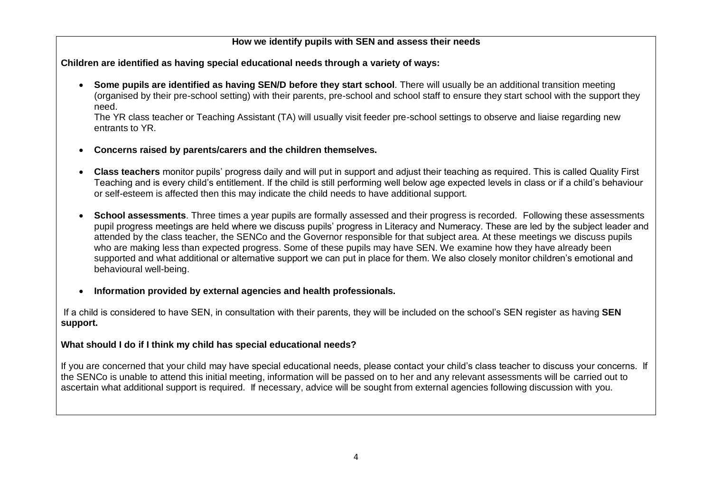#### **How we identify pupils with SEN and assess their needs**

**Children are identified as having special educational needs through a variety of ways:**

 **Some pupils are identified as having SEN/D before they start school**. There will usually be an additional transition meeting (organised by their pre-school setting) with their parents, pre-school and school staff to ensure they start school with the support they need.

The YR class teacher or Teaching Assistant (TA) will usually visit feeder pre-school settings to observe and liaise regarding new entrants to YR.

- **Concerns raised by parents/carers and the children themselves.**
- **Class teachers** monitor pupils' progress daily and will put in support and adjust their teaching as required. This is called Quality First Teaching and is every child's entitlement. If the child is still performing well below age expected levels in class or if a child's behaviour or self-esteem is affected then this may indicate the child needs to have additional support.
- **School assessments**. Three times a year pupils are formally assessed and their progress is recorded. Following these assessments pupil progress meetings are held where we discuss pupils' progress in Literacy and Numeracy. These are led by the subject leader and attended by the class teacher, the SENCo and the Governor responsible for that subject area. At these meetings we discuss pupils who are making less than expected progress. Some of these pupils may have SEN. We examine how they have already been supported and what additional or alternative support we can put in place for them. We also closely monitor children's emotional and behavioural well-being.
- **Information provided by external agencies and health professionals.**

If a child is considered to have SEN, in consultation with their parents, they will be included on the school's SEN register as having **SEN support.**

## **What should I do if I think my child has special educational needs?**

If you are concerned that your child may have special educational needs, please contact your child's class teacher to discuss your concerns. If the SENCo is unable to attend this initial meeting, information will be passed on to her and any relevant assessments will be carried out to ascertain what additional support is required. If necessary, advice will be sought from external agencies following discussion with you.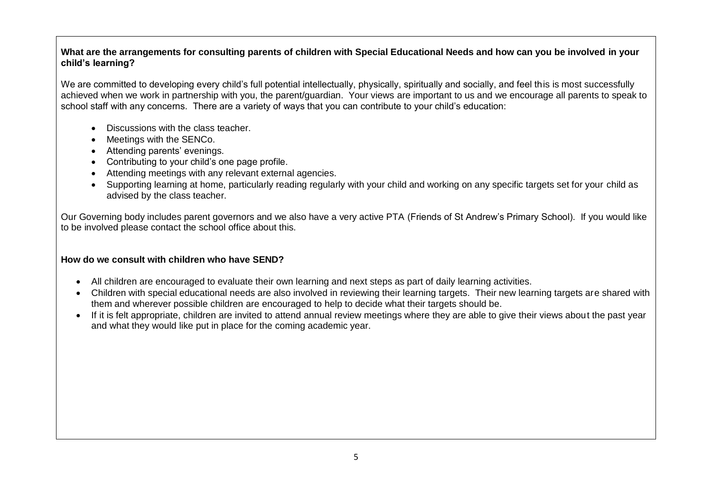#### **What are the arrangements for consulting parents of children with Special Educational Needs and how can you be involved in your child's learning?**

We are committed to developing every child's full potential intellectually, physically, spiritually and socially, and feel this is most successfully achieved when we work in partnership with you, the parent/guardian. Your views are important to us and we encourage all parents to speak to school staff with any concerns. There are a variety of ways that you can contribute to your child's education:

- Discussions with the class teacher.
- Meetings with the SENCo.
- Attending parents' evenings.
- Contributing to your child's one page profile.
- Attending meetings with any relevant external agencies.
- Supporting learning at home, particularly reading regularly with your child and working on any specific targets set for your child as advised by the class teacher.

Our Governing body includes parent governors and we also have a very active PTA (Friends of St Andrew's Primary School). If you would like to be involved please contact the school office about this.

#### **How do we consult with children who have SEND?**

- All children are encouraged to evaluate their own learning and next steps as part of daily learning activities.
- Children with special educational needs are also involved in reviewing their learning targets. Their new learning targets are shared with them and wherever possible children are encouraged to help to decide what their targets should be.
- If it is felt appropriate, children are invited to attend annual review meetings where they are able to give their views about the past year and what they would like put in place for the coming academic year.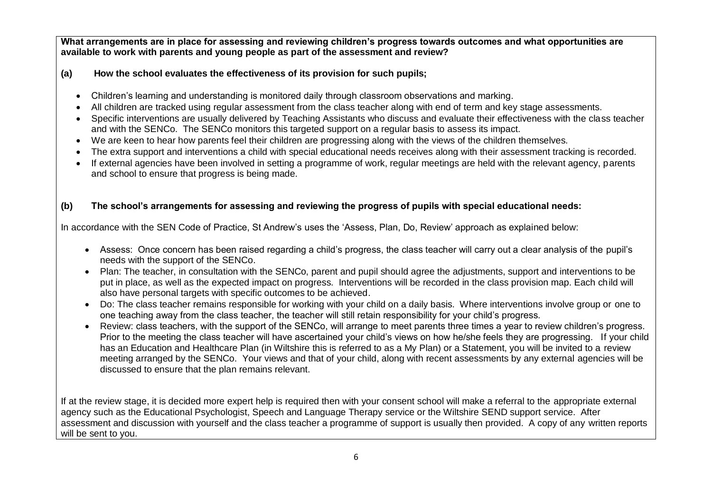**What arrangements are in place for assessing and reviewing children's progress towards outcomes and what opportunities are available to work with parents and young people as part of the assessment and review?**

### **(a) How the school evaluates the effectiveness of its provision for such pupils;**

- Children's learning and understanding is monitored daily through classroom observations and marking.
- All children are tracked using regular assessment from the class teacher along with end of term and key stage assessments.
- Specific interventions are usually delivered by Teaching Assistants who discuss and evaluate their effectiveness with the class teacher and with the SENCo. The SENCo monitors this targeted support on a regular basis to assess its impact.
- We are keen to hear how parents feel their children are progressing along with the views of the children themselves.
- The extra support and interventions a child with special educational needs receives along with their assessment tracking is recorded.
- If external agencies have been involved in setting a programme of work, regular meetings are held with the relevant agency, parents and school to ensure that progress is being made.

## **(b) The school's arrangements for assessing and reviewing the progress of pupils with special educational needs:**

In accordance with the SEN Code of Practice, St Andrew's uses the 'Assess, Plan, Do, Review' approach as explained below:

- Assess: Once concern has been raised regarding a child's progress, the class teacher will carry out a clear analysis of the pupil's needs with the support of the SENCo.
- Plan: The teacher, in consultation with the SENCo, parent and pupil should agree the adjustments, support and interventions to be put in place, as well as the expected impact on progress. Interventions will be recorded in the class provision map. Each child will also have personal targets with specific outcomes to be achieved.
- Do: The class teacher remains responsible for working with your child on a daily basis. Where interventions involve group or one to one teaching away from the class teacher, the teacher will still retain responsibility for your child's progress.
- Review: class teachers, with the support of the SENCo, will arrange to meet parents three times a year to review children's progress. Prior to the meeting the class teacher will have ascertained your child's views on how he/she feels they are progressing. If your child has an Education and Healthcare Plan (in Wiltshire this is referred to as a My Plan) or a Statement, you will be invited to a review meeting arranged by the SENCo. Your views and that of your child, along with recent assessments by any external agencies will be discussed to ensure that the plan remains relevant.

If at the review stage, it is decided more expert help is required then with your consent school will make a referral to the appropriate external agency such as the Educational Psychologist, Speech and Language Therapy service or the Wiltshire SEND support service. After assessment and discussion with yourself and the class teacher a programme of support is usually then provided. A copy of any written reports will be sent to you.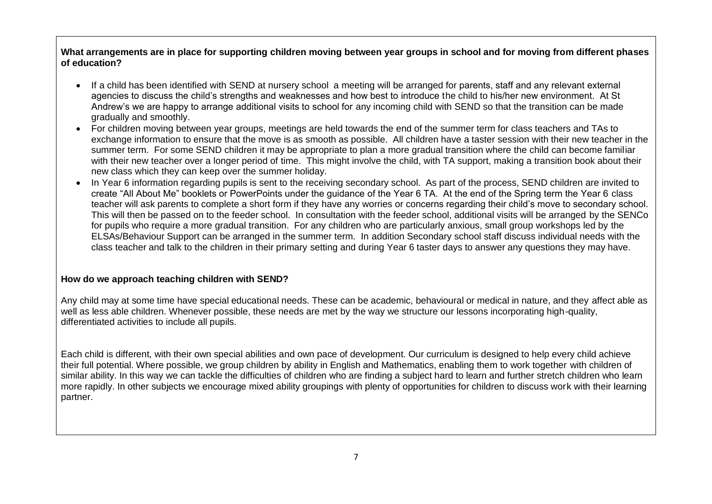#### **What arrangements are in place for supporting children moving between year groups in school and for moving from different phases of education?**

- If a child has been identified with SEND at nursery school a meeting will be arranged for parents, staff and any relevant external agencies to discuss the child's strengths and weaknesses and how best to introduce the child to his/her new environment. At St Andrew's we are happy to arrange additional visits to school for any incoming child with SEND so that the transition can be made gradually and smoothly.
- For children moving between year groups, meetings are held towards the end of the summer term for class teachers and TAs to exchange information to ensure that the move is as smooth as possible. All children have a taster session with their new teacher in the summer term. For some SEND children it may be appropriate to plan a more gradual transition where the child can become familiar with their new teacher over a longer period of time. This might involve the child, with TA support, making a transition book about their new class which they can keep over the summer holiday.
- In Year 6 information regarding pupils is sent to the receiving secondary school. As part of the process, SEND children are invited to create "All About Me" booklets or PowerPoints under the guidance of the Year 6 TA. At the end of the Spring term the Year 6 class teacher will ask parents to complete a short form if they have any worries or concerns regarding their child's move to secondary school. This will then be passed on to the feeder school. In consultation with the feeder school, additional visits will be arranged by the SENCo for pupils who require a more gradual transition. For any children who are particularly anxious, small group workshops led by the ELSAs/Behaviour Support can be arranged in the summer term. In addition Secondary school staff discuss individual needs with the class teacher and talk to the children in their primary setting and during Year 6 taster days to answer any questions they may have.

#### **How do we approach teaching children with SEND?**

Any child may at some time have special educational needs. These can be academic, behavioural or medical in nature, and they affect able as well as less able children. Whenever possible, these needs are met by the way we structure our lessons incorporating high-quality, differentiated activities to include all pupils.

Each child is different, with their own special abilities and own pace of development. Our curriculum is designed to help every child achieve their full potential. Where possible, we group children by ability in English and Mathematics, enabling them to work together with children of similar ability. In this way we can tackle the difficulties of children who are finding a subject hard to learn and further stretch children who learn more rapidly. In other subjects we encourage mixed ability groupings with plenty of opportunities for children to discuss work with their learning partner.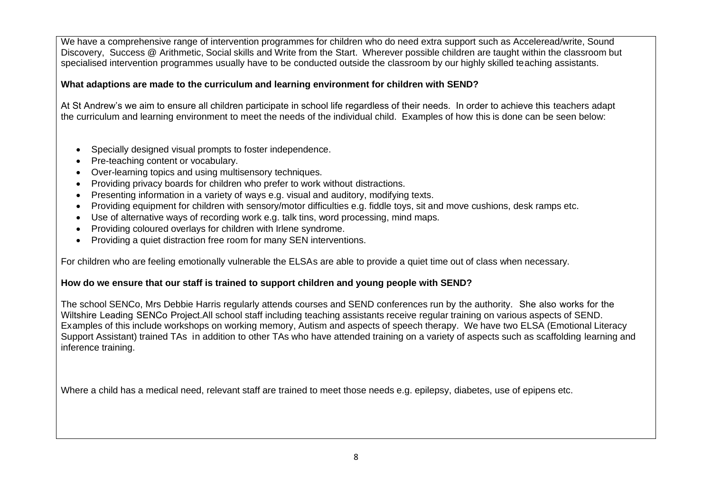We have a comprehensive range of intervention programmes for children who do need extra support such as Acceleread/write, Sound Discovery, Success @ Arithmetic, Social skills and Write from the Start. Wherever possible children are taught within the classroom but specialised intervention programmes usually have to be conducted outside the classroom by our highly skilled teaching assistants.

## **What adaptions are made to the curriculum and learning environment for children with SEND?**

At St Andrew's we aim to ensure all children participate in school life regardless of their needs. In order to achieve this teachers adapt the curriculum and learning environment to meet the needs of the individual child. Examples of how this is done can be seen below:

- Specially designed visual prompts to foster independence.
- Pre-teaching content or vocabulary.
- Over-learning topics and using multisensory techniques.
- Providing privacy boards for children who prefer to work without distractions.
- Presenting information in a variety of ways e.g. visual and auditory, modifying texts.
- Providing equipment for children with sensory/motor difficulties e.g. fiddle toys, sit and move cushions, desk ramps etc.
- Use of alternative ways of recording work e.g. talk tins, word processing, mind maps.
- Providing coloured overlays for children with Irlene syndrome.
- Providing a quiet distraction free room for many SEN interventions.

For children who are feeling emotionally vulnerable the ELSAs are able to provide a quiet time out of class when necessary.

## **How do we ensure that our staff is trained to support children and young people with SEND?**

The school SENCo, Mrs Debbie Harris regularly attends courses and SEND conferences run by the authority. She also works for the Wiltshire Leading SENCo Project.All school staff including teaching assistants receive regular training on various aspects of SEND. Examples of this include workshops on working memory, Autism and aspects of speech therapy. We have two ELSA (Emotional Literacy Support Assistant) trained TAs in addition to other TAs who have attended training on a variety of aspects such as scaffolding learning and inference training.

Where a child has a medical need, relevant staff are trained to meet those needs e.g. epilepsy, diabetes, use of epipens etc.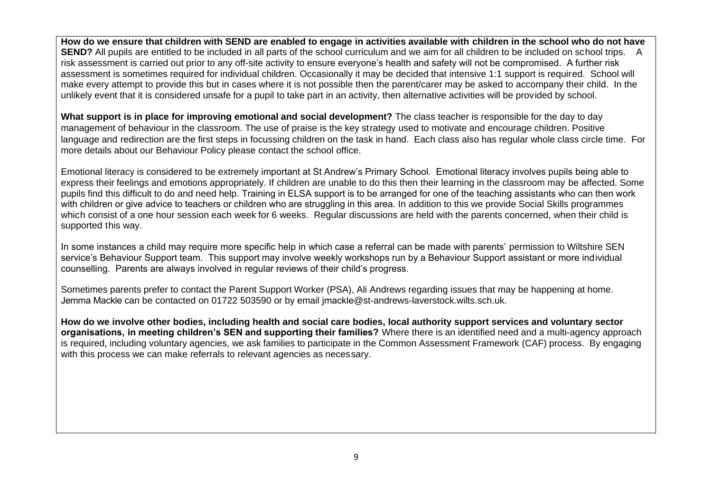**How do we ensure that children with SEND are enabled to engage in activities available with children in the school who do not have SEND?** All pupils are entitled to be included in all parts of the school curriculum and we aim for all children to be included on school trips. A risk assessment is carried out prior to any off-site activity to ensure everyone's health and safety will not be compromised. A further risk assessment is sometimes required for individual children. Occasionally it may be decided that intensive 1:1 support is required. School will make every attempt to provide this but in cases where it is not possible then the parent/carer may be asked to accompany their child. In the unlikely event that it is considered unsafe for a pupil to take part in an activity, then alternative activities will be provided by school.

**What support is in place for improving emotional and social development?** The class teacher is responsible for the day to day management of behaviour in the classroom. The use of praise is the key strategy used to motivate and encourage children. Positive language and redirection are the first steps in focussing children on the task in hand. Each class also has regular whole class circle time. For more details about our Behaviour Policy please contact the school office.

Emotional literacy is considered to be extremely important at St Andrew's Primary School. Emotional literacy involves pupils being able to express their feelings and emotions appropriately. If children are unable to do this then their learning in the classroom may be affected. Some pupils find this difficult to do and need help. Training in ELSA support is to be arranged for one of the teaching assistants who can then work with children or give advice to teachers or children who are struggling in this area. In addition to this we provide Social Skills programmes which consist of a one hour session each week for 6 weeks. Regular discussions are held with the parents concerned, when their child is supported this way.

In some instances a child may require more specific help in which case a referral can be made with parents' permission to Wiltshire SEN service's Behaviour Support team. This support may involve weekly workshops run by a Behaviour Support assistant or more individual counselling. Parents are always involved in regular reviews of their child's progress.

Sometimes parents prefer to contact the Parent Support Worker (PSA), Ali Andrews regarding issues that may be happening at home. Jemma Mackle can be contacted on 01722 503590 or by email jmackle@st-andrews-laverstock.wilts.sch.uk.

**How do we involve other bodies, including health and social care bodies, local authority support services and voluntary sector organisations, in meeting children's SEN and supporting their families?** Where there is an identified need and a multi-agency approach is required, including voluntary agencies, we ask families to participate in the Common Assessment Framework (CAF) process. By engaging with this process we can make referrals to relevant agencies as necessary.